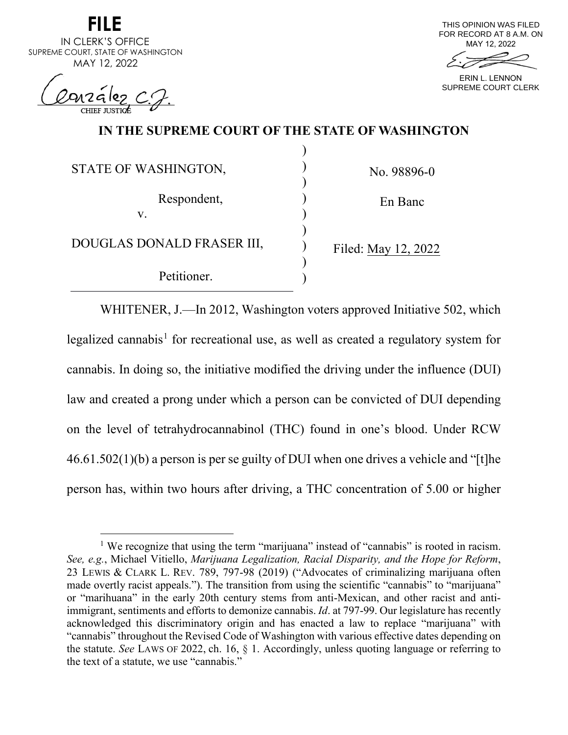| FILE                               |
|------------------------------------|
| IN CLERK'S OFFICE                  |
| SUPREME COURT, STATE OF WASHINGTON |
| MAY 12, 2022                       |

**FILE** 

Conzález C.J.



ERIN L. LENNON SUPREME COURT CLERK

# **IN THE SUPREME COURT OF THE STATE OF WASHINGTON**

)

| STATE OF WASHINGTON,       | No. 98896-0         |
|----------------------------|---------------------|
| Respondent,<br>V.          | En Banc             |
| DOUGLAS DONALD FRASER III, | Filed: May 12, 2022 |
| Petitioner.                |                     |

WHITENER, J.—In 2012, Washington voters approved Initiative 502, which legalized cannabis<sup>[1](#page-0-0)</sup> for recreational use, as well as created a regulatory system for cannabis. In doing so, the initiative modified the driving under the influence (DUI) law and created a prong under which a person can be convicted of DUI depending on the level of tetrahydrocannabinol (THC) found in one's blood. Under RCW 46.61.502(1)(b) a person is per se guilty of DUI when one drives a vehicle and "[t]he person has, within two hours after driving, a THC concentration of 5.00 or higher

<span id="page-0-0"></span><sup>&</sup>lt;sup>1</sup> We recognize that using the term "marijuana" instead of "cannabis" is rooted in racism. *See, e.g.*, Michael Vitiello, *Marijuana Legalization, Racial Disparity, and the Hope for Reform*, 23 LEWIS & CLARK L. REV. 789, 797-98 (2019) ("Advocates of criminalizing marijuana often made overtly racist appeals."). The transition from using the scientific "cannabis" to "marijuana" or "marihuana" in the early 20th century stems from anti-Mexican, and other racist and antiimmigrant, sentiments and efforts to demonize cannabis. *Id*. at 797-99. Our legislature has recently acknowledged this discriminatory origin and has enacted a law to replace "marijuana" with "cannabis" throughout the Revised Code of Washington with various effective dates depending on the statute. *See* LAWS OF 2022, ch. 16, § 1. Accordingly, unless quoting language or referring to the text of a statute, we use "cannabis."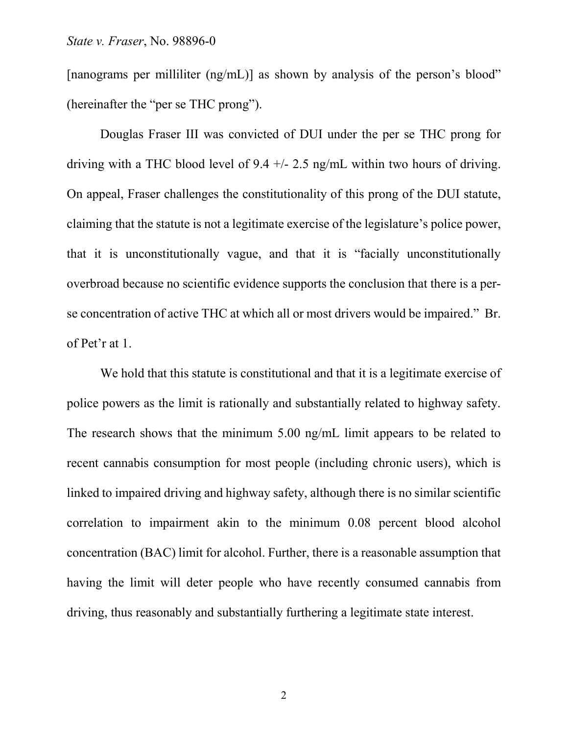[nanograms per milliliter (ng/mL)] as shown by analysis of the person's blood" (hereinafter the "per se THC prong").

Douglas Fraser III was convicted of DUI under the per se THC prong for driving with a THC blood level of 9.4 +/- 2.5 ng/mL within two hours of driving. On appeal, Fraser challenges the constitutionality of this prong of the DUI statute, claiming that the statute is not a legitimate exercise of the legislature's police power, that it is unconstitutionally vague, and that it is "facially unconstitutionally overbroad because no scientific evidence supports the conclusion that there is a perse concentration of active THC at which all or most drivers would be impaired." Br. of Pet'r at 1.

We hold that this statute is constitutional and that it is a legitimate exercise of police powers as the limit is rationally and substantially related to highway safety. The research shows that the minimum 5.00 ng/mL limit appears to be related to recent cannabis consumption for most people (including chronic users), which is linked to impaired driving and highway safety, although there is no similar scientific correlation to impairment akin to the minimum 0.08 percent blood alcohol concentration (BAC) limit for alcohol. Further, there is a reasonable assumption that having the limit will deter people who have recently consumed cannabis from driving, thus reasonably and substantially furthering a legitimate state interest.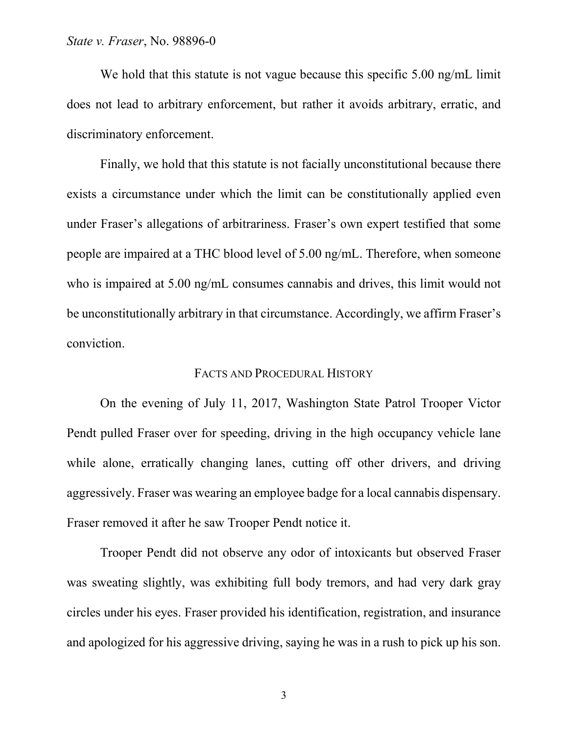We hold that this statute is not vague because this specific 5.00 ng/mL limit does not lead to arbitrary enforcement, but rather it avoids arbitrary, erratic, and discriminatory enforcement.

Finally, we hold that this statute is not facially unconstitutional because there exists a circumstance under which the limit can be constitutionally applied even under Fraser's allegations of arbitrariness. Fraser's own expert testified that some people are impaired at a THC blood level of 5.00 ng/mL. Therefore, when someone who is impaired at 5.00 ng/mL consumes cannabis and drives, this limit would not be unconstitutionally arbitrary in that circumstance. Accordingly, we affirm Fraser's conviction.

# FACTS AND PROCEDURAL HISTORY

On the evening of July 11, 2017, Washington State Patrol Trooper Victor Pendt pulled Fraser over for speeding, driving in the high occupancy vehicle lane while alone, erratically changing lanes, cutting off other drivers, and driving aggressively. Fraser was wearing an employee badge for a local cannabis dispensary. Fraser removed it after he saw Trooper Pendt notice it.

Trooper Pendt did not observe any odor of intoxicants but observed Fraser was sweating slightly, was exhibiting full body tremors, and had very dark gray circles under his eyes. Fraser provided his identification, registration, and insurance and apologized for his aggressive driving, saying he was in a rush to pick up his son.

3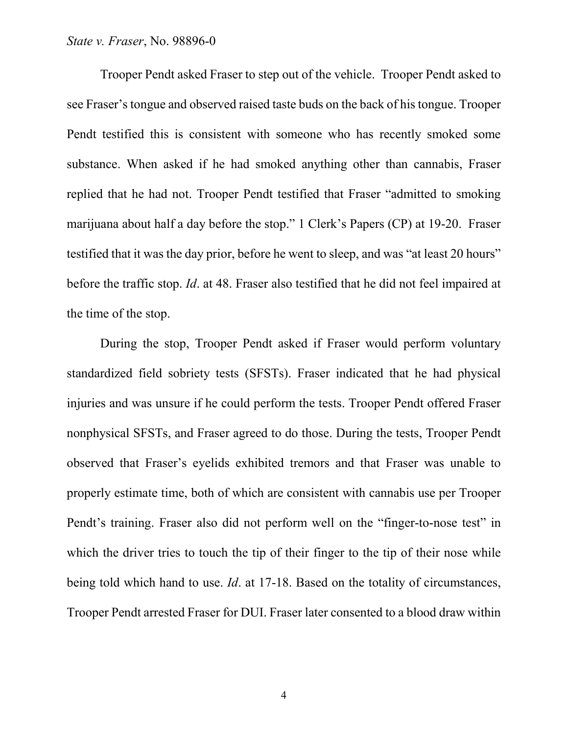# *State v. Fraser*, No. 98896-0

Trooper Pendt asked Fraser to step out of the vehicle. Trooper Pendt asked to see Fraser's tongue and observed raised taste buds on the back of his tongue. Trooper Pendt testified this is consistent with someone who has recently smoked some substance. When asked if he had smoked anything other than cannabis, Fraser replied that he had not. Trooper Pendt testified that Fraser "admitted to smoking marijuana about half a day before the stop." 1 Clerk's Papers (CP) at 19-20. Fraser testified that it was the day prior, before he went to sleep, and was "at least 20 hours" before the traffic stop. *Id*. at 48. Fraser also testified that he did not feel impaired at the time of the stop.

During the stop, Trooper Pendt asked if Fraser would perform voluntary standardized field sobriety tests (SFSTs). Fraser indicated that he had physical injuries and was unsure if he could perform the tests. Trooper Pendt offered Fraser nonphysical SFSTs, and Fraser agreed to do those. During the tests, Trooper Pendt observed that Fraser's eyelids exhibited tremors and that Fraser was unable to properly estimate time, both of which are consistent with cannabis use per Trooper Pendt's training. Fraser also did not perform well on the "finger-to-nose test" in which the driver tries to touch the tip of their finger to the tip of their nose while being told which hand to use. *Id*. at 17-18. Based on the totality of circumstances, Trooper Pendt arrested Fraser for DUI. Fraser later consented to a blood draw within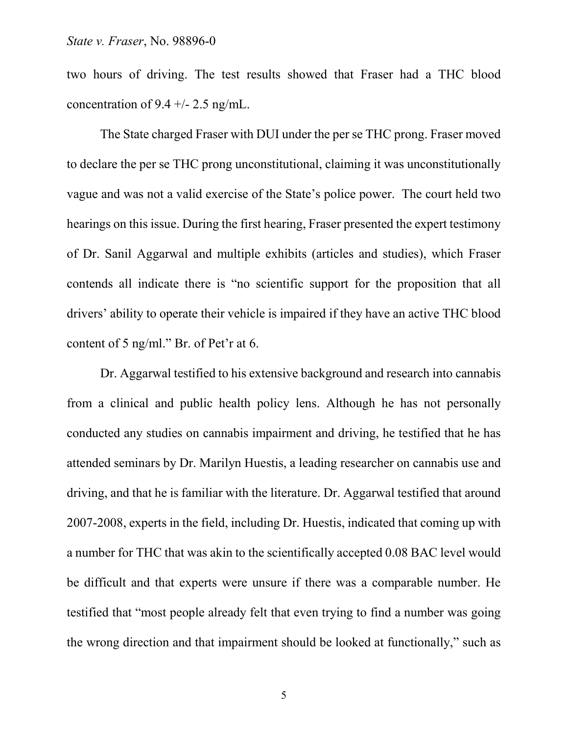two hours of driving. The test results showed that Fraser had a THC blood concentration of  $9.4 +/- 2.5$  ng/mL.

The State charged Fraser with DUI under the per se THC prong. Fraser moved to declare the per se THC prong unconstitutional, claiming it was unconstitutionally vague and was not a valid exercise of the State's police power. The court held two hearings on this issue. During the first hearing, Fraser presented the expert testimony of Dr. Sanil Aggarwal and multiple exhibits (articles and studies), which Fraser contends all indicate there is "no scientific support for the proposition that all drivers' ability to operate their vehicle is impaired if they have an active THC blood content of 5 ng/ml." Br. of Pet'r at 6.

Dr. Aggarwal testified to his extensive background and research into cannabis from a clinical and public health policy lens. Although he has not personally conducted any studies on cannabis impairment and driving, he testified that he has attended seminars by Dr. Marilyn Huestis, a leading researcher on cannabis use and driving, and that he is familiar with the literature. Dr. Aggarwal testified that around 2007-2008, experts in the field, including Dr. Huestis, indicated that coming up with a number for THC that was akin to the scientifically accepted 0.08 BAC level would be difficult and that experts were unsure if there was a comparable number. He testified that "most people already felt that even trying to find a number was going the wrong direction and that impairment should be looked at functionally," such as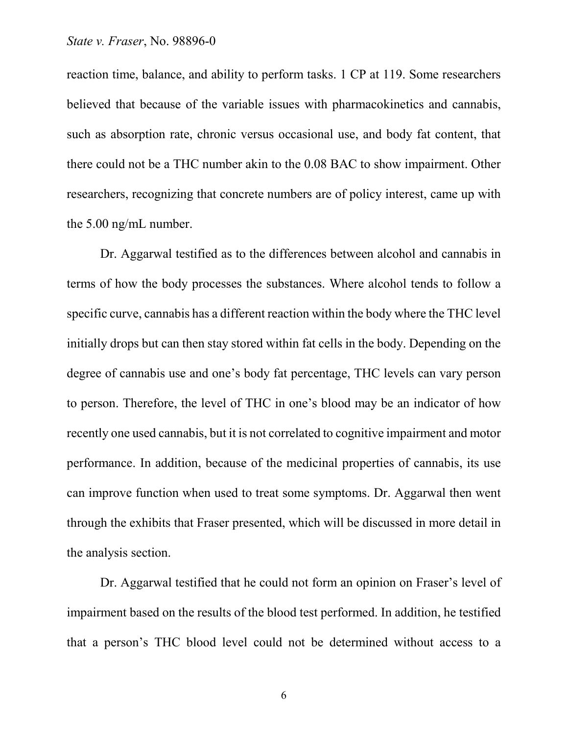reaction time, balance, and ability to perform tasks. 1 CP at 119. Some researchers believed that because of the variable issues with pharmacokinetics and cannabis, such as absorption rate, chronic versus occasional use, and body fat content, that there could not be a THC number akin to the 0.08 BAC to show impairment. Other researchers, recognizing that concrete numbers are of policy interest, came up with the 5.00 ng/mL number.

Dr. Aggarwal testified as to the differences between alcohol and cannabis in terms of how the body processes the substances. Where alcohol tends to follow a specific curve, cannabis has a different reaction within the body where the THC level initially drops but can then stay stored within fat cells in the body. Depending on the degree of cannabis use and one's body fat percentage, THC levels can vary person to person. Therefore, the level of THC in one's blood may be an indicator of how recently one used cannabis, but it is not correlated to cognitive impairment and motor performance. In addition, because of the medicinal properties of cannabis, its use can improve function when used to treat some symptoms. Dr. Aggarwal then went through the exhibits that Fraser presented, which will be discussed in more detail in the analysis section.

Dr. Aggarwal testified that he could not form an opinion on Fraser's level of impairment based on the results of the blood test performed. In addition, he testified that a person's THC blood level could not be determined without access to a

6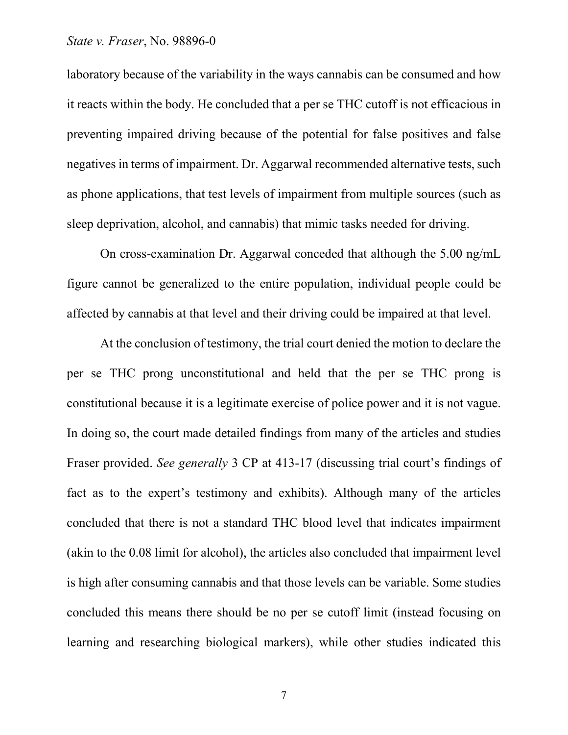## *State v. Fraser*, No. 98896-0

laboratory because of the variability in the ways cannabis can be consumed and how it reacts within the body. He concluded that a per se THC cutoff is not efficacious in preventing impaired driving because of the potential for false positives and false negatives in terms of impairment. Dr. Aggarwal recommended alternative tests, such as phone applications, that test levels of impairment from multiple sources (such as sleep deprivation, alcohol, and cannabis) that mimic tasks needed for driving.

On cross-examination Dr. Aggarwal conceded that although the 5.00 ng/mL figure cannot be generalized to the entire population, individual people could be affected by cannabis at that level and their driving could be impaired at that level.

At the conclusion of testimony, the trial court denied the motion to declare the per se THC prong unconstitutional and held that the per se THC prong is constitutional because it is a legitimate exercise of police power and it is not vague. In doing so, the court made detailed findings from many of the articles and studies Fraser provided. *See generally* 3 CP at 413-17 (discussing trial court's findings of fact as to the expert's testimony and exhibits). Although many of the articles concluded that there is not a standard THC blood level that indicates impairment (akin to the 0.08 limit for alcohol), the articles also concluded that impairment level is high after consuming cannabis and that those levels can be variable. Some studies concluded this means there should be no per se cutoff limit (instead focusing on learning and researching biological markers), while other studies indicated this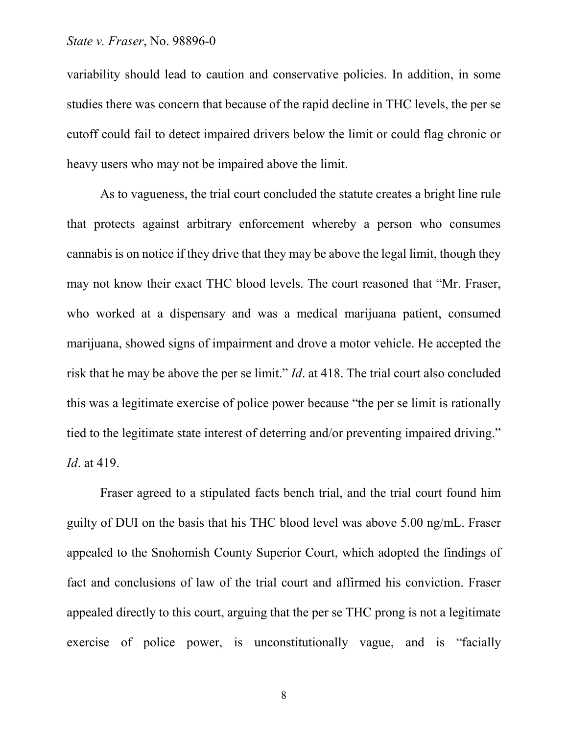## *State v. Fraser*, No. 98896-0

variability should lead to caution and conservative policies. In addition, in some studies there was concern that because of the rapid decline in THC levels, the per se cutoff could fail to detect impaired drivers below the limit or could flag chronic or heavy users who may not be impaired above the limit.

As to vagueness, the trial court concluded the statute creates a bright line rule that protects against arbitrary enforcement whereby a person who consumes cannabis is on notice if they drive that they may be above the legal limit, though they may not know their exact THC blood levels. The court reasoned that "Mr. Fraser, who worked at a dispensary and was a medical marijuana patient, consumed marijuana, showed signs of impairment and drove a motor vehicle. He accepted the risk that he may be above the per se limit." *Id*. at 418. The trial court also concluded this was a legitimate exercise of police power because "the per se limit is rationally tied to the legitimate state interest of deterring and/or preventing impaired driving." *Id*. at 419.

Fraser agreed to a stipulated facts bench trial, and the trial court found him guilty of DUI on the basis that his THC blood level was above 5.00 ng/mL. Fraser appealed to the Snohomish County Superior Court, which adopted the findings of fact and conclusions of law of the trial court and affirmed his conviction. Fraser appealed directly to this court, arguing that the per se THC prong is not a legitimate exercise of police power, is unconstitutionally vague, and is "facially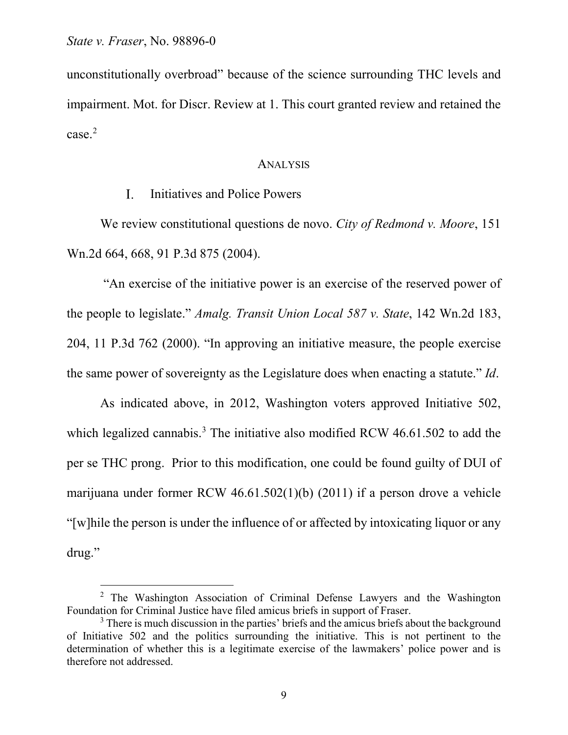unconstitutionally overbroad" because of the science surrounding THC levels and impairment. Mot. for Discr. Review at 1. This court granted review and retained the case.[2](#page-8-0)

### ANALYSIS

#### $\overline{L}$ Initiatives and Police Powers

We review constitutional questions de novo. *City of Redmond v. Moore*, 151 Wn.2d 664, 668, 91 P.3d 875 (2004).

"An exercise of the initiative power is an exercise of the reserved power of the people to legislate." *Amalg. Transit Union Local 587 v. State*, 142 Wn.2d 183, 204, 11 P.3d 762 (2000). "In approving an initiative measure, the people exercise the same power of sovereignty as the Legislature does when enacting a statute." *Id*.

As indicated above, in 2012, Washington voters approved Initiative 502, which legalized cannabis.<sup>[3](#page-8-1)</sup> The initiative also modified RCW 46.61.502 to add the per se THC prong. Prior to this modification, one could be found guilty of DUI of marijuana under former RCW 46.61.502(1)(b) (2011) if a person drove a vehicle "[w]hile the person is under the influence of or affected by intoxicating liquor or any drug."

<span id="page-8-0"></span><sup>&</sup>lt;sup>2</sup> The Washington Association of Criminal Defense Lawyers and the Washington Foundation for Criminal Justice have filed amicus briefs in support of Fraser.

<span id="page-8-1"></span> $3$  There is much discussion in the parties' briefs and the amicus briefs about the background of Initiative 502 and the politics surrounding the initiative. This is not pertinent to the determination of whether this is a legitimate exercise of the lawmakers' police power and is therefore not addressed.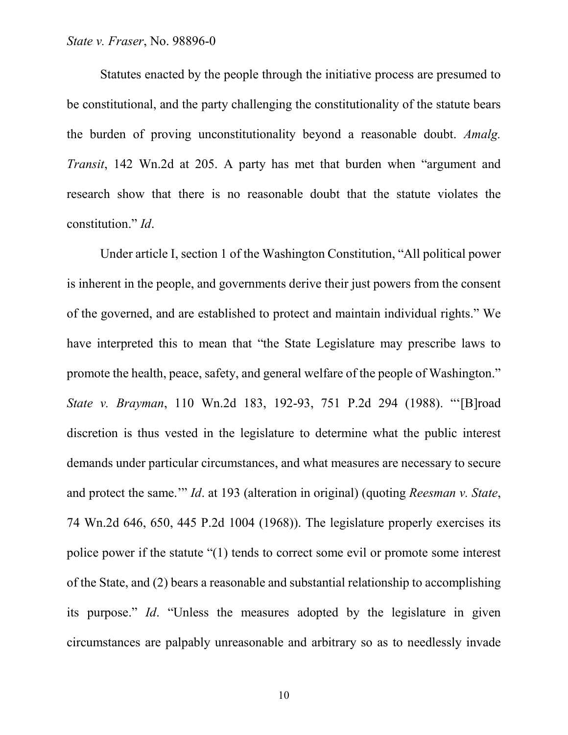# *State v. Fraser*, No. 98896-0

Statutes enacted by the people through the initiative process are presumed to be constitutional, and the party challenging the constitutionality of the statute bears the burden of proving unconstitutionality beyond a reasonable doubt. *Amalg. Transit*, 142 Wn.2d at 205. A party has met that burden when "argument and research show that there is no reasonable doubt that the statute violates the constitution." *Id*.

Under article I, section 1 of the Washington Constitution, "All political power is inherent in the people, and governments derive their just powers from the consent of the governed, and are established to protect and maintain individual rights." We have interpreted this to mean that "the State Legislature may prescribe laws to promote the health, peace, safety, and general welfare of the people of Washington." *State v. Brayman*, 110 Wn.2d 183, 192-93, 751 P.2d 294 (1988). "'[B]road discretion is thus vested in the legislature to determine what the public interest demands under particular circumstances, and what measures are necessary to secure and protect the same.'" *Id*. at 193 (alteration in original) (quoting *Reesman v. State*, 74 Wn.2d 646, 650, 445 P.2d 1004 (1968)). The legislature properly exercises its police power if the statute "(1) tends to correct some evil or promote some interest of the State, and (2) bears a reasonable and substantial relationship to accomplishing its purpose." *Id*. "Unless the measures adopted by the legislature in given circumstances are palpably unreasonable and arbitrary so as to needlessly invade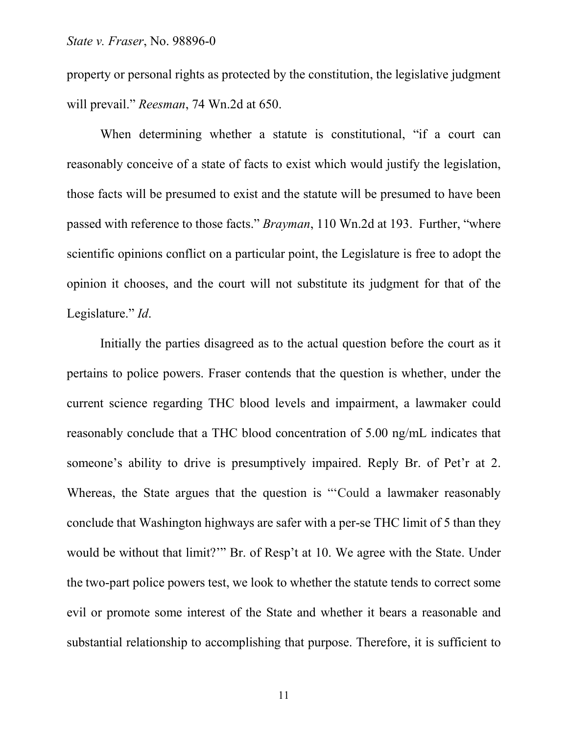property or personal rights as protected by the constitution, the legislative judgment will prevail." *Reesman*, 74 Wn.2d at 650.

When determining whether a statute is constitutional, "if a court can reasonably conceive of a state of facts to exist which would justify the legislation, those facts will be presumed to exist and the statute will be presumed to have been passed with reference to those facts." *Brayman*, 110 Wn.2d at 193. Further, "where scientific opinions conflict on a particular point, the Legislature is free to adopt the opinion it chooses, and the court will not substitute its judgment for that of the Legislature." *Id*.

Initially the parties disagreed as to the actual question before the court as it pertains to police powers. Fraser contends that the question is whether, under the current science regarding THC blood levels and impairment, a lawmaker could reasonably conclude that a THC blood concentration of 5.00 ng/mL indicates that someone's ability to drive is presumptively impaired. Reply Br. of Pet'r at 2. Whereas, the State argues that the question is "'Could a lawmaker reasonably conclude that Washington highways are safer with a per-se THC limit of 5 than they would be without that limit?'" Br. of Resp't at 10. We agree with the State. Under the two-part police powers test, we look to whether the statute tends to correct some evil or promote some interest of the State and whether it bears a reasonable and substantial relationship to accomplishing that purpose. Therefore, it is sufficient to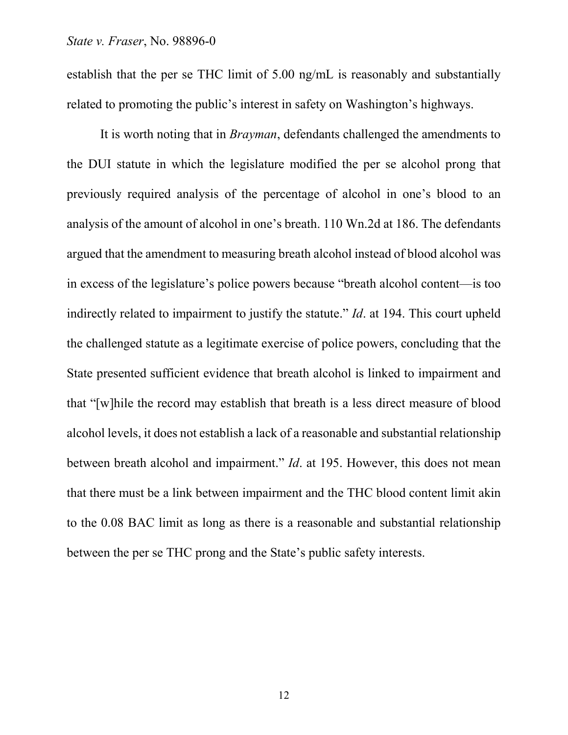establish that the per se THC limit of 5.00 ng/mL is reasonably and substantially related to promoting the public's interest in safety on Washington's highways.

It is worth noting that in *Brayman*, defendants challenged the amendments to the DUI statute in which the legislature modified the per se alcohol prong that previously required analysis of the percentage of alcohol in one's blood to an analysis of the amount of alcohol in one's breath. 110 Wn.2d at 186. The defendants argued that the amendment to measuring breath alcohol instead of blood alcohol was in excess of the legislature's police powers because "breath alcohol content—is too indirectly related to impairment to justify the statute." *Id*. at 194. This court upheld the challenged statute as a legitimate exercise of police powers, concluding that the State presented sufficient evidence that breath alcohol is linked to impairment and that "[w]hile the record may establish that breath is a less direct measure of blood alcohol levels, it does not establish a lack of a reasonable and substantial relationship between breath alcohol and impairment." *Id*. at 195. However, this does not mean that there must be a link between impairment and the THC blood content limit akin to the 0.08 BAC limit as long as there is a reasonable and substantial relationship between the per se THC prong and the State's public safety interests.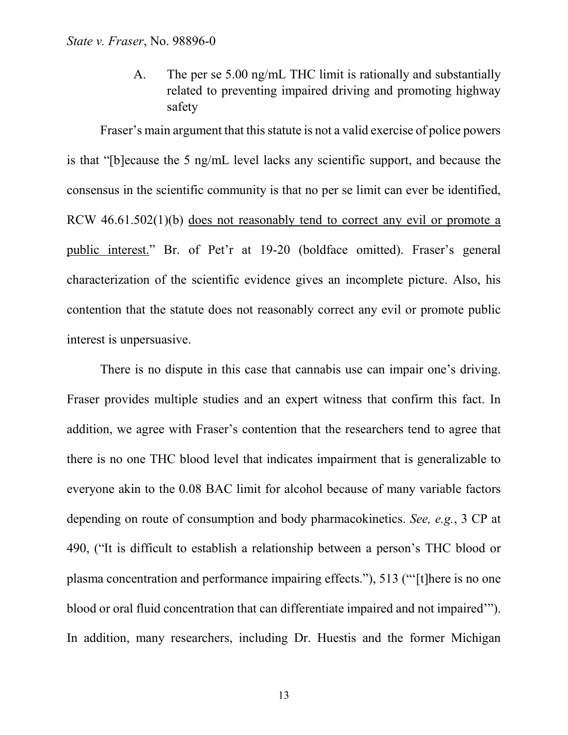A. The per se 5.00 ng/mL THC limit is rationally and substantially related to preventing impaired driving and promoting highway safety

Fraser's main argument that this statute is not a valid exercise of police powers is that "[b]ecause the 5 ng/mL level lacks any scientific support, and because the consensus in the scientific community is that no per se limit can ever be identified, RCW 46.61.502(1)(b) does not reasonably tend to correct any evil or promote a public interest." Br. of Pet'r at 19-20 (boldface omitted). Fraser's general characterization of the scientific evidence gives an incomplete picture. Also, his contention that the statute does not reasonably correct any evil or promote public interest is unpersuasive.

There is no dispute in this case that cannabis use can impair one's driving. Fraser provides multiple studies and an expert witness that confirm this fact. In addition, we agree with Fraser's contention that the researchers tend to agree that there is no one THC blood level that indicates impairment that is generalizable to everyone akin to the 0.08 BAC limit for alcohol because of many variable factors depending on route of consumption and body pharmacokinetics. *See, e.g.*, 3 CP at 490, ("It is difficult to establish a relationship between a person's THC blood or plasma concentration and performance impairing effects."), 513 ("'[t]here is no one blood or oral fluid concentration that can differentiate impaired and not impaired'"). In addition, many researchers, including Dr. Huestis and the former Michigan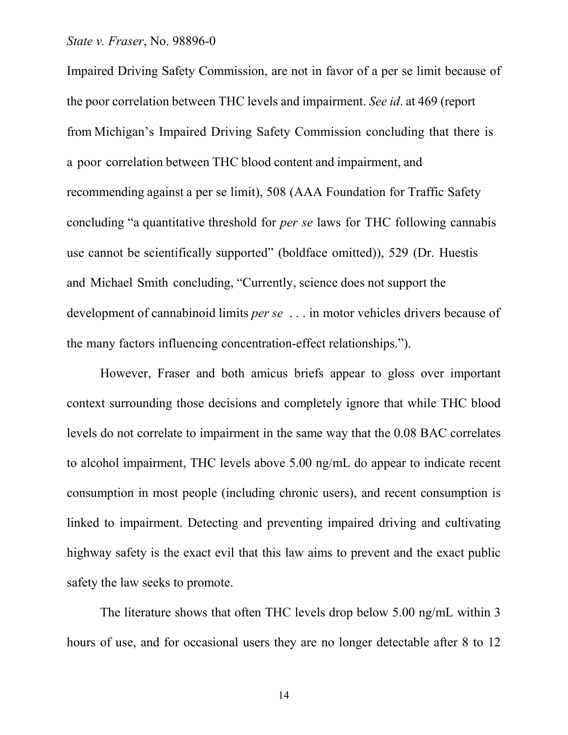## *State v. Fraser*, No. 98896-0

Impaired Driving Safety Commission, are not in favor of a per se limit because of the poor correlation between THC levels and impairment. *See id*. at 469 (report from Michigan's Impaired Driving Safety Commission concluding that there is a poor correlation between THC blood content and impairment, and recommending against a per se limit), 508 (AAA Foundation for Traffic Safety concluding "a quantitative threshold for *per se* laws for THC following cannabis use cannot be scientifically supported" (boldface omitted)), 529 (Dr. Huestis and Michael Smith concluding, "Currently, science does not support the development of cannabinoid limits *per se* . . . in motor vehicles drivers because of the many factors influencing concentration-effect relationships.").

However, Fraser and both amicus briefs appear to gloss over important context surrounding those decisions and completely ignore that while THC blood levels do not correlate to impairment in the same way that the 0.08 BAC correlates to alcohol impairment, THC levels above 5.00 ng/mL do appear to indicate recent consumption in most people (including chronic users), and recent consumption is linked to impairment. Detecting and preventing impaired driving and cultivating highway safety is the exact evil that this law aims to prevent and the exact public safety the law seeks to promote.

The literature shows that often THC levels drop below 5.00 ng/mL within 3 hours of use, and for occasional users they are no longer detectable after 8 to 12

14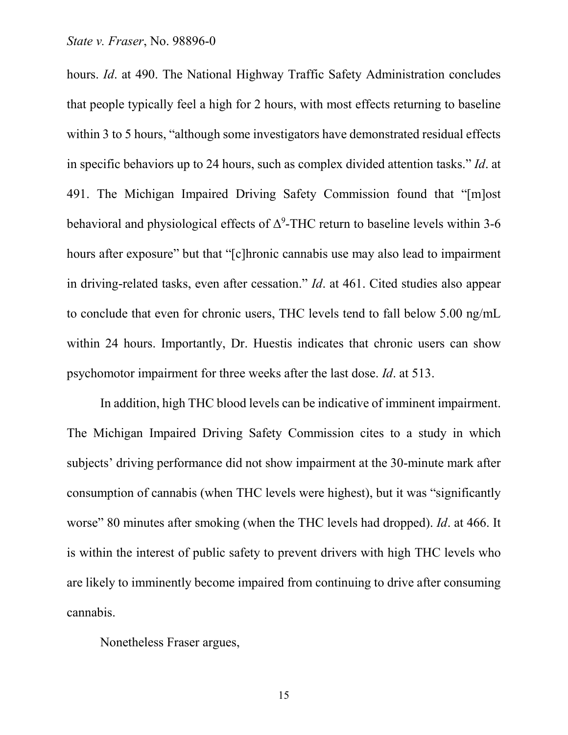hours. *Id*. at 490. The National Highway Traffic Safety Administration concludes that people typically feel a high for 2 hours, with most effects returning to baseline within 3 to 5 hours, "although some investigators have demonstrated residual effects in specific behaviors up to 24 hours, such as complex divided attention tasks." *Id*. at 491. The Michigan Impaired Driving Safety Commission found that "[m]ost behavioral and physiological effects of  $\Delta^9$ -THC return to baseline levels within 3-6 hours after exposure" but that "[c]hronic cannabis use may also lead to impairment in driving-related tasks, even after cessation." *Id*. at 461. Cited studies also appear to conclude that even for chronic users, THC levels tend to fall below 5.00 ng/mL within 24 hours. Importantly, Dr. Huestis indicates that chronic users can show psychomotor impairment for three weeks after the last dose. *Id*. at 513.

In addition, high THC blood levels can be indicative of imminent impairment. The Michigan Impaired Driving Safety Commission cites to a study in which subjects' driving performance did not show impairment at the 30-minute mark after consumption of cannabis (when THC levels were highest), but it was "significantly worse" 80 minutes after smoking (when the THC levels had dropped). *Id*. at 466. It is within the interest of public safety to prevent drivers with high THC levels who are likely to imminently become impaired from continuing to drive after consuming cannabis.

Nonetheless Fraser argues,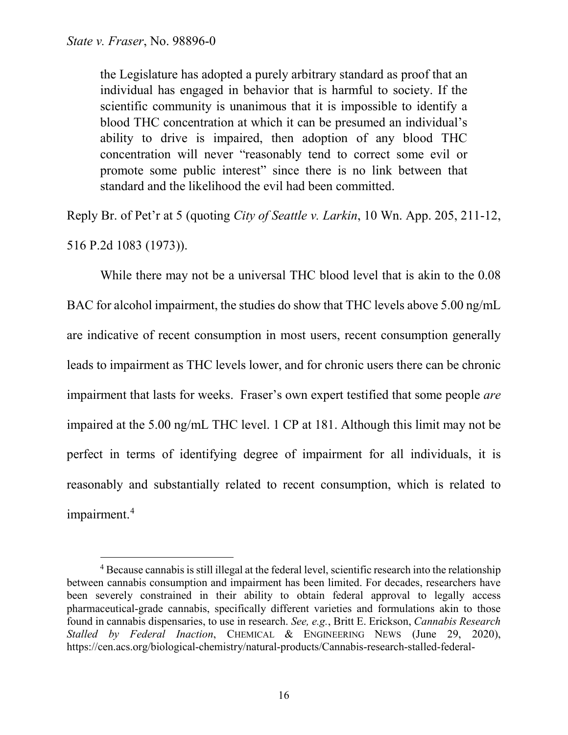the Legislature has adopted a purely arbitrary standard as proof that an individual has engaged in behavior that is harmful to society. If the scientific community is unanimous that it is impossible to identify a blood THC concentration at which it can be presumed an individual's ability to drive is impaired, then adoption of any blood THC concentration will never "reasonably tend to correct some evil or promote some public interest" since there is no link between that standard and the likelihood the evil had been committed.

Reply Br. of Pet'r at 5 (quoting *City of Seattle v. Larkin*, 10 Wn. App. 205, 211-12, 516 P.2d 1083 (1973)).

While there may not be a universal THC blood level that is akin to the 0.08 BAC for alcohol impairment, the studies do show that THC levels above 5.00 ng/mL are indicative of recent consumption in most users, recent consumption generally leads to impairment as THC levels lower, and for chronic users there can be chronic impairment that lasts for weeks. Fraser's own expert testified that some people *are* impaired at the 5.00 ng/mL THC level. 1 CP at 181. Although this limit may not be perfect in terms of identifying degree of impairment for all individuals, it is reasonably and substantially related to recent consumption, which is related to impairment.<sup>[4](#page-15-0)</sup>

<span id="page-15-0"></span><sup>&</sup>lt;sup>4</sup> Because cannabis is still illegal at the federal level, scientific research into the relationship between cannabis consumption and impairment has been limited. For decades, researchers have been severely constrained in their ability to obtain federal approval to legally access pharmaceutical-grade cannabis, specifically different varieties and formulations akin to those found in cannabis dispensaries, to use in research. *See, e.g.*, Britt E. Erickson, *Cannabis Research Stalled by Federal Inaction*, CHEMICAL & ENGINEERING NEWS (June 29, 2020), https://cen.acs.org/biological-chemistry/natural-products/Cannabis-research-stalled-federal-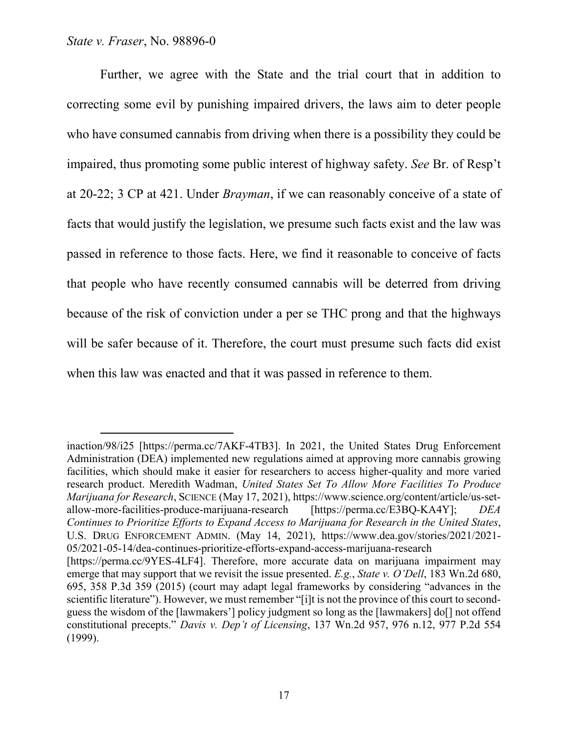Further, we agree with the State and the trial court that in addition to correcting some evil by punishing impaired drivers, the laws aim to deter people who have consumed cannabis from driving when there is a possibility they could be impaired, thus promoting some public interest of highway safety. *See* Br. of Resp't at 20-22; 3 CP at 421. Under *Brayman*, if we can reasonably conceive of a state of facts that would justify the legislation, we presume such facts exist and the law was passed in reference to those facts. Here, we find it reasonable to conceive of facts that people who have recently consumed cannabis will be deterred from driving because of the risk of conviction under a per se THC prong and that the highways will be safer because of it. Therefore, the court must presume such facts did exist when this law was enacted and that it was passed in reference to them.

inaction/98/i25 [https://perma.cc/7AKF-4TB3]. In 2021, the United States Drug Enforcement Administration (DEA) implemented new regulations aimed at approving more cannabis growing facilities, which should make it easier for researchers to access higher-quality and more varied research product. Meredith Wadman, *United States Set To Allow More Facilities To Produce Marijuana for Research*, SCIENCE (May 17, 2021), https://www.science.org/content/article/us-setallow-more-facilities-produce-marijuana-research [https://perma.cc/E3BQ-KA4Y]; *DEA Continues to Prioritize Efforts to Expand Access to Marijuana for Research in the United States*, U.S. DRUG ENFORCEMENT ADMIN. (May 14, 2021), https://www.dea.gov/stories/2021/2021- 05/2021-05-14/dea-continues-prioritize-efforts-expand-access-marijuana-research

<sup>[</sup>https://perma.cc/9YES-4LF4]. Therefore, more accurate data on marijuana impairment may emerge that may support that we revisit the issue presented. *E.g.*, *State v. O'Dell*, 183 Wn.2d 680, 695, 358 P.3d 359 (2015) (court may adapt legal frameworks by considering "advances in the scientific literature"). However, we must remember "[i]t is not the province of this court to secondguess the wisdom of the [lawmakers'] policy judgment so long as the [lawmakers] do[] not offend constitutional precepts." *Davis v. Dep't of Licensing*, 137 Wn.2d 957, 976 n.12, 977 P.2d 554 (1999).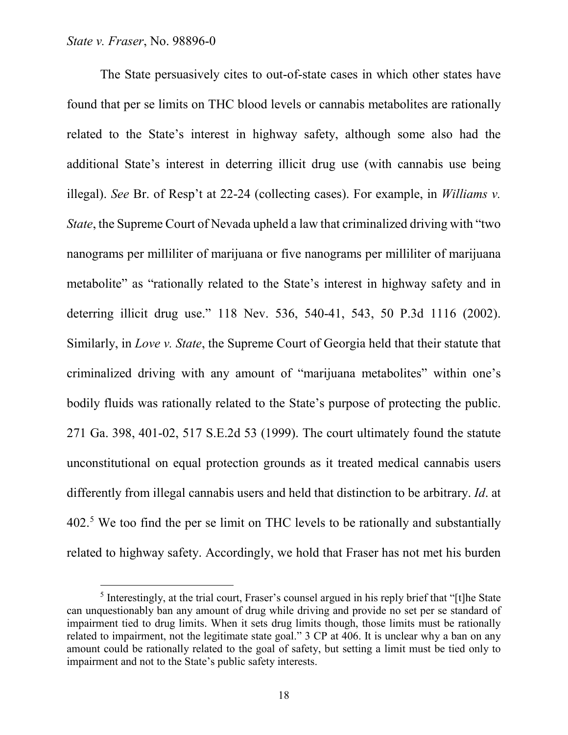The State persuasively cites to out-of-state cases in which other states have found that per se limits on THC blood levels or cannabis metabolites are rationally related to the State's interest in highway safety, although some also had the additional State's interest in deterring illicit drug use (with cannabis use being illegal). *See* Br. of Resp't at 22-24 (collecting cases). For example, in *Williams v. State*, the Supreme Court of Nevada upheld a law that criminalized driving with "two nanograms per milliliter of marijuana or five nanograms per milliliter of marijuana metabolite" as "rationally related to the State's interest in highway safety and in deterring illicit drug use." 118 Nev. 536, 540-41, 543, 50 P.3d 1116 (2002). Similarly, in *Love v. State*, the Supreme Court of Georgia held that their statute that criminalized driving with any amount of "marijuana metabolites" within one's bodily fluids was rationally related to the State's purpose of protecting the public. 271 Ga. 398, 401-02, 517 S.E.2d 53 (1999). The court ultimately found the statute unconstitutional on equal protection grounds as it treated medical cannabis users differently from illegal cannabis users and held that distinction to be arbitrary. *Id*. at 402.<sup>[5](#page-17-0)</sup> We too find the per se limit on THC levels to be rationally and substantially related to highway safety. Accordingly, we hold that Fraser has not met his burden

<span id="page-17-0"></span> $<sup>5</sup>$  Interestingly, at the trial court, Fraser's counsel argued in his reply brief that "[t]he State</sup> can unquestionably ban any amount of drug while driving and provide no set per se standard of impairment tied to drug limits. When it sets drug limits though, those limits must be rationally related to impairment, not the legitimate state goal." 3 CP at 406. It is unclear why a ban on any amount could be rationally related to the goal of safety, but setting a limit must be tied only to impairment and not to the State's public safety interests.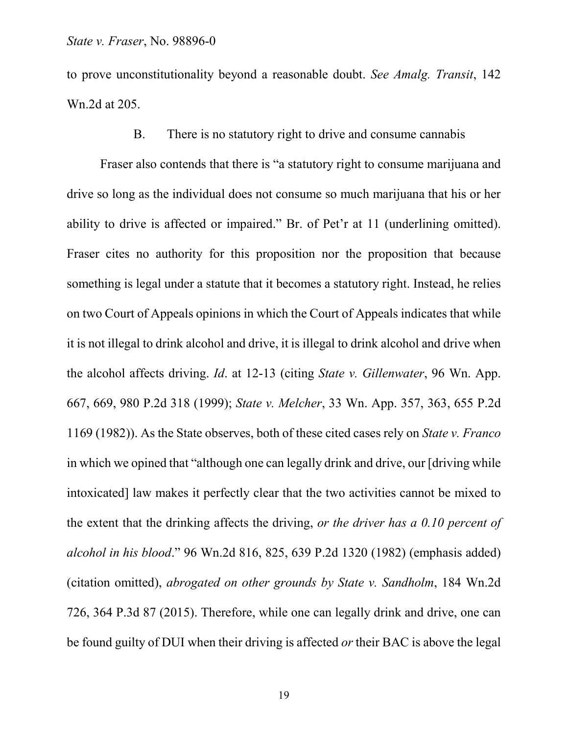to prove unconstitutionality beyond a reasonable doubt. *See Amalg. Transit*, 142 Wn.2d at 205.

# B. There is no statutory right to drive and consume cannabis

Fraser also contends that there is "a statutory right to consume marijuana and drive so long as the individual does not consume so much marijuana that his or her ability to drive is affected or impaired." Br. of Pet'r at 11 (underlining omitted). Fraser cites no authority for this proposition nor the proposition that because something is legal under a statute that it becomes a statutory right. Instead, he relies on two Court of Appeals opinions in which the Court of Appeals indicates that while it is not illegal to drink alcohol and drive, it is illegal to drink alcohol and drive when the alcohol affects driving. *Id*. at 12-13 (citing *State v. Gillenwater*, 96 Wn. App. 667, 669, 980 P.2d 318 (1999); *State v. Melcher*, 33 Wn. App. 357, 363, 655 P.2d 1169 (1982)). As the State observes, both of these cited cases rely on *State v. Franco* in which we opined that "although one can legally drink and drive, our [driving while intoxicated] law makes it perfectly clear that the two activities cannot be mixed to the extent that the drinking affects the driving, *or the driver has a 0.10 percent of alcohol in his blood*." 96 Wn.2d 816, 825, 639 P.2d 1320 (1982) (emphasis added) (citation omitted), *abrogated on other grounds by State v. Sandholm*, 184 Wn.2d 726, 364 P.3d 87 (2015). Therefore, while one can legally drink and drive, one can be found guilty of DUI when their driving is affected *or* their BAC is above the legal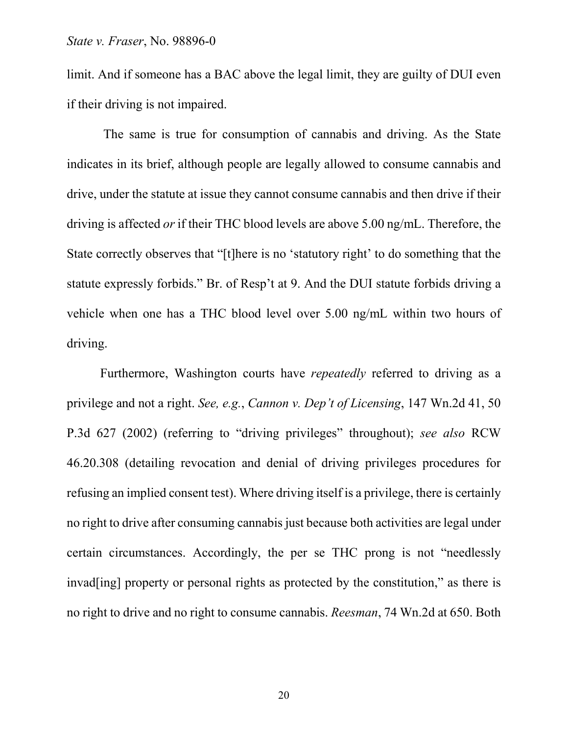limit. And if someone has a BAC above the legal limit, they are guilty of DUI even if their driving is not impaired.

The same is true for consumption of cannabis and driving. As the State indicates in its brief, although people are legally allowed to consume cannabis and drive, under the statute at issue they cannot consume cannabis and then drive if their driving is affected *or* if their THC blood levels are above 5.00 ng/mL. Therefore, the State correctly observes that "[t]here is no 'statutory right' to do something that the statute expressly forbids." Br. of Resp't at 9. And the DUI statute forbids driving a vehicle when one has a THC blood level over 5.00 ng/mL within two hours of driving.

Furthermore, Washington courts have *repeatedly* referred to driving as a privilege and not a right. *See, e.g.*, *Cannon v. Dep't of Licensing*, 147 Wn.2d 41, 50 P.3d 627 (2002) (referring to "driving privileges" throughout); *see also* RCW 46.20.308 (detailing revocation and denial of driving privileges procedures for refusing an implied consent test). Where driving itself is a privilege, there is certainly no right to drive after consuming cannabis just because both activities are legal under certain circumstances. Accordingly, the per se THC prong is not "needlessly invad[ing] property or personal rights as protected by the constitution," as there is no right to drive and no right to consume cannabis. *Reesman*, 74 Wn.2d at 650. Both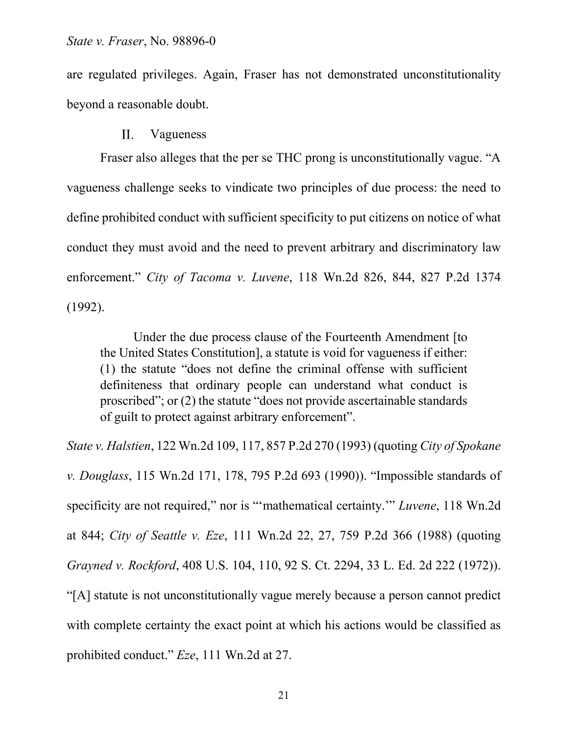are regulated privileges. Again, Fraser has not demonstrated unconstitutionality beyond a reasonable doubt.

#### $\Pi$ . Vagueness

Fraser also alleges that the per se THC prong is unconstitutionally vague. "A vagueness challenge seeks to vindicate two principles of due process: the need to define prohibited conduct with sufficient specificity to put citizens on notice of what conduct they must avoid and the need to prevent arbitrary and discriminatory law enforcement." *City of Tacoma v. Luvene*, 118 Wn.2d 826, 844, 827 P.2d 1374 (1992).

Under the due process clause of the Fourteenth Amendment [to the United States Constitution], a statute is void for vagueness if either: (1) the statute "does not define the criminal offense with sufficient definiteness that ordinary people can understand what conduct is proscribed"; or (2) the statute "does not provide ascertainable standards of guilt to protect against arbitrary enforcement".

*State v. Halstien*, 122 Wn.2d 109, 117, 857 P.2d 270 (1993) (quoting *City of Spokane v. Douglass*, 115 Wn.2d 171, 178, 795 P.2d 693 (1990)). "Impossible standards of specificity are not required," nor is "'mathematical certainty.'" *Luvene*, 118 Wn.2d at 844; *City of Seattle v. Eze*, 111 Wn.2d 22, 27, 759 P.2d 366 (1988) (quoting *Grayned v. Rockford*, 408 U.S. 104, 110, 92 S. Ct. 2294, 33 L. Ed. 2d 222 (1972)). "[A] statute is not unconstitutionally vague merely because a person cannot predict with complete certainty the exact point at which his actions would be classified as prohibited conduct." *Eze*, 111 Wn.2d at 27.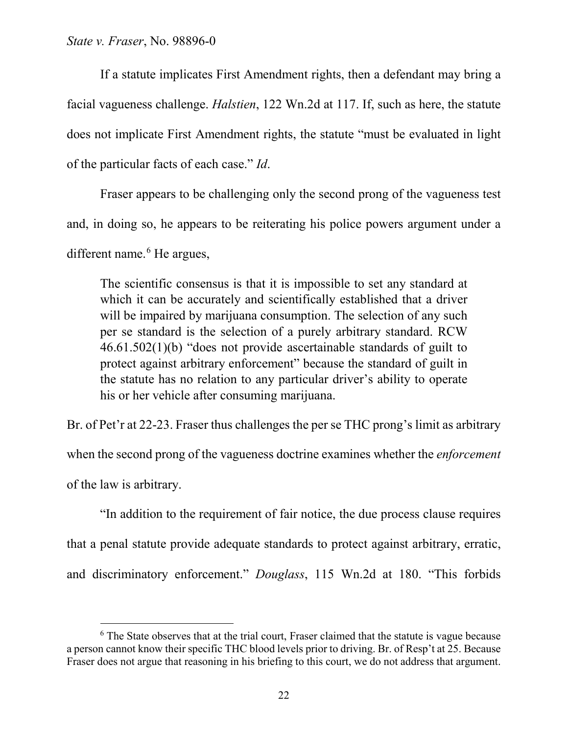If a statute implicates First Amendment rights, then a defendant may bring a facial vagueness challenge. *Halstien*, 122 Wn.2d at 117. If, such as here, the statute does not implicate First Amendment rights, the statute "must be evaluated in light of the particular facts of each case." *Id*.

Fraser appears to be challenging only the second prong of the vagueness test and, in doing so, he appears to be reiterating his police powers argument under a different name.<sup>[6](#page-21-0)</sup> He argues,

The scientific consensus is that it is impossible to set any standard at which it can be accurately and scientifically established that a driver will be impaired by marijuana consumption. The selection of any such per se standard is the selection of a purely arbitrary standard. RCW 46.61.502(1)(b) "does not provide ascertainable standards of guilt to protect against arbitrary enforcement" because the standard of guilt in the statute has no relation to any particular driver's ability to operate his or her vehicle after consuming marijuana.

Br. of Pet'r at 22-23. Fraser thus challenges the per se THC prong's limit as arbitrary when the second prong of the vagueness doctrine examines whether the *enforcement* of the law is arbitrary.

"In addition to the requirement of fair notice, the due process clause requires that a penal statute provide adequate standards to protect against arbitrary, erratic, and discriminatory enforcement." *Douglass*, 115 Wn.2d at 180. "This forbids

<span id="page-21-0"></span> $6$  The State observes that at the trial court, Fraser claimed that the statute is vague because a person cannot know their specific THC blood levels prior to driving. Br. of Resp't at 25. Because Fraser does not argue that reasoning in his briefing to this court, we do not address that argument.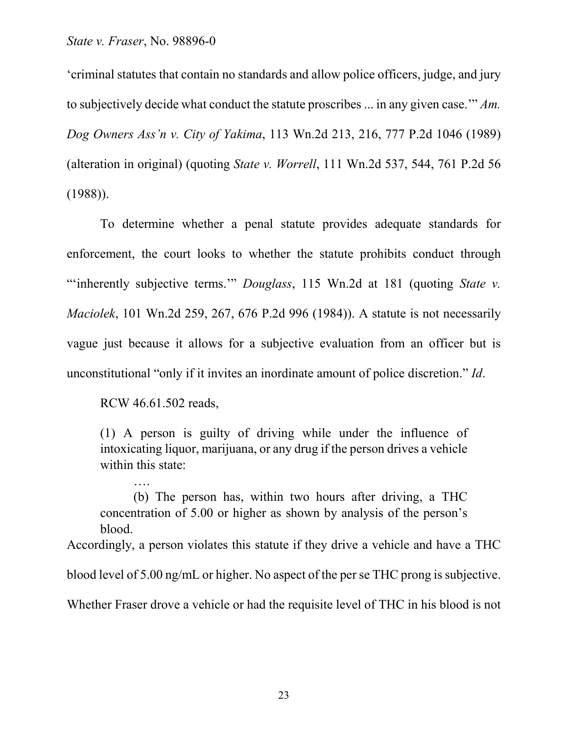'criminal statutes that contain no standards and allow police officers, judge, and jury to subjectively decide what conduct the statute proscribes ... in any given case.'" *Am. Dog Owners Ass'n v. City of Yakima*, 113 Wn.2d 213, 216, 777 P.2d 1046 (1989) (alteration in original) (quoting *State v. Worrell*, 111 Wn.2d 537, 544, 761 P.2d 56 (1988)).

To determine whether a penal statute provides adequate standards for enforcement, the court looks to whether the statute prohibits conduct through "'inherently subjective terms.'" *Douglass*, 115 Wn.2d at 181 (quoting *State v. Maciolek*, 101 Wn.2d 259, 267, 676 P.2d 996 (1984)). A statute is not necessarily vague just because it allows for a subjective evaluation from an officer but is unconstitutional "only if it invites an inordinate amount of police discretion." *Id*.

RCW 46.61.502 reads,

….

(1) A person is guilty of driving while under the influence of intoxicating liquor, marijuana, or any drug if the person drives a vehicle within this state:

(b) The person has, within two hours after driving, a THC concentration of 5.00 or higher as shown by analysis of the person's blood.

Accordingly, a person violates this statute if they drive a vehicle and have a THC

blood level of  $5.00$  ng/mL or higher. No aspect of the per se THC prong is subjective.

Whether Fraser drove a vehicle or had the requisite level of THC in his blood is not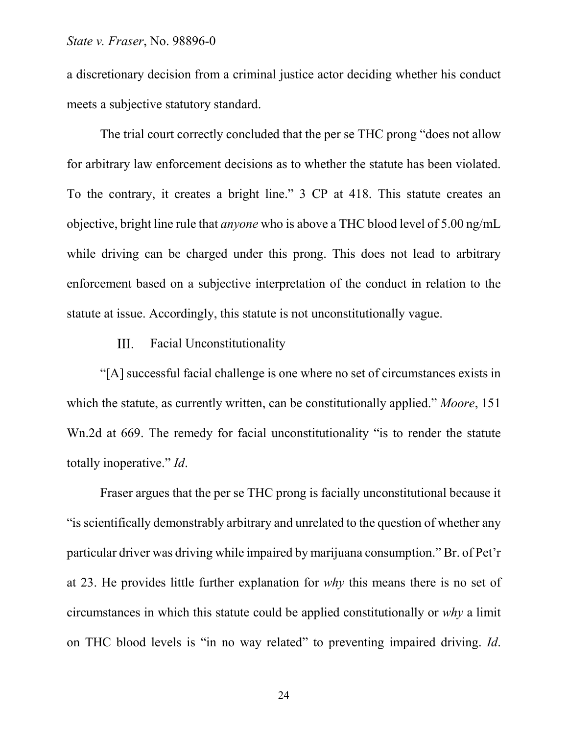a discretionary decision from a criminal justice actor deciding whether his conduct meets a subjective statutory standard.

The trial court correctly concluded that the per se THC prong "does not allow for arbitrary law enforcement decisions as to whether the statute has been violated. To the contrary, it creates a bright line." 3 CP at 418. This statute creates an objective, bright line rule that *anyone* who is above a THC blood level of 5.00 ng/mL while driving can be charged under this prong. This does not lead to arbitrary enforcement based on a subjective interpretation of the conduct in relation to the statute at issue. Accordingly, this statute is not unconstitutionally vague.

#### III. Facial Unconstitutionality

"[A] successful facial challenge is one where no set of circumstances exists in which the statute, as currently written, can be constitutionally applied." *Moore*, 151 Wn.2d at 669. The remedy for facial unconstitutionality "is to render the statute totally inoperative." *Id*.

Fraser argues that the per se THC prong is facially unconstitutional because it "is scientifically demonstrably arbitrary and unrelated to the question of whether any particular driver was driving while impaired by marijuana consumption." Br. of Pet'r at 23. He provides little further explanation for *why* this means there is no set of circumstances in which this statute could be applied constitutionally or *why* a limit on THC blood levels is "in no way related" to preventing impaired driving. *Id*.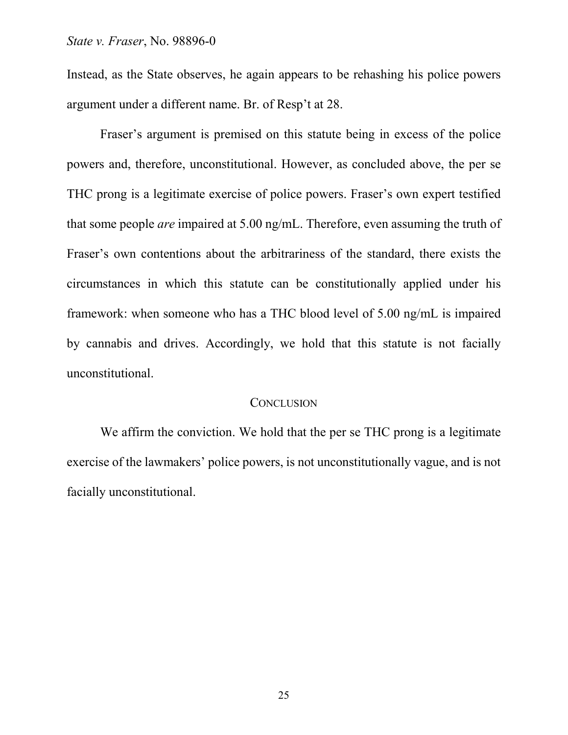Instead, as the State observes, he again appears to be rehashing his police powers argument under a different name. Br. of Resp't at 28.

Fraser's argument is premised on this statute being in excess of the police powers and, therefore, unconstitutional. However, as concluded above, the per se THC prong is a legitimate exercise of police powers. Fraser's own expert testified that some people *are* impaired at 5.00 ng/mL. Therefore, even assuming the truth of Fraser's own contentions about the arbitrariness of the standard, there exists the circumstances in which this statute can be constitutionally applied under his framework: when someone who has a THC blood level of 5.00 ng/mL is impaired by cannabis and drives. Accordingly, we hold that this statute is not facially unconstitutional.

# **CONCLUSION**

We affirm the conviction. We hold that the per se THC prong is a legitimate exercise of the lawmakers' police powers, is not unconstitutionally vague, and is not facially unconstitutional.